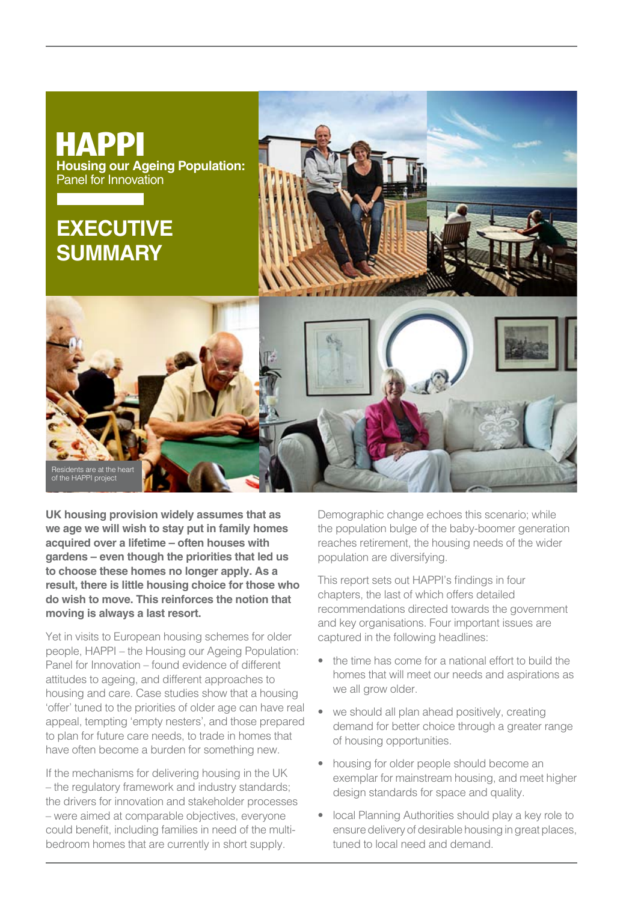

**UK housing provision widely assumes that as we age we will wish to stay put in family homes acquired over a lifetime – often houses with gardens – even though the priorities that led us to choose these homes no longer apply. As a result, there is little housing choice for those who do wish to move. This reinforces the notion that moving is always a last resort.** 

Yet in visits to European housing schemes for older people, HAPPI – the Housing our Ageing Population: Panel for Innovation – found evidence of different attitudes to ageing, and different approaches to housing and care. Case studies show that a housing 'offer' tuned to the priorities of older age can have real appeal, tempting 'empty nesters', and those prepared to plan for future care needs, to trade in homes that have often become a burden for something new.

If the mechanisms for delivering housing in the UK – the regulatory framework and industry standards; the drivers for innovation and stakeholder processes – were aimed at comparable objectives, everyone could benefit, including families in need of the multibedroom homes that are currently in short supply.

Demographic change echoes this scenario; while the population bulge of the baby-boomer generation reaches retirement, the housing needs of the wider population are diversifying.

This report sets out HAPPI's findings in four chapters, the last of which offers detailed recommendations directed towards the government and key organisations. Four important issues are captured in the following headlines:

- the time has come for a national effort to build the homes that will meet our needs and aspirations as we all grow older.
- we should all plan ahead positively, creating demand for better choice through a greater range of housing opportunities.
- housing for older people should become an exemplar for mainstream housing, and meet higher design standards for space and quality.
- local Planning Authorities should play a key role to ensure delivery of desirable housing in great places, tuned to local need and demand.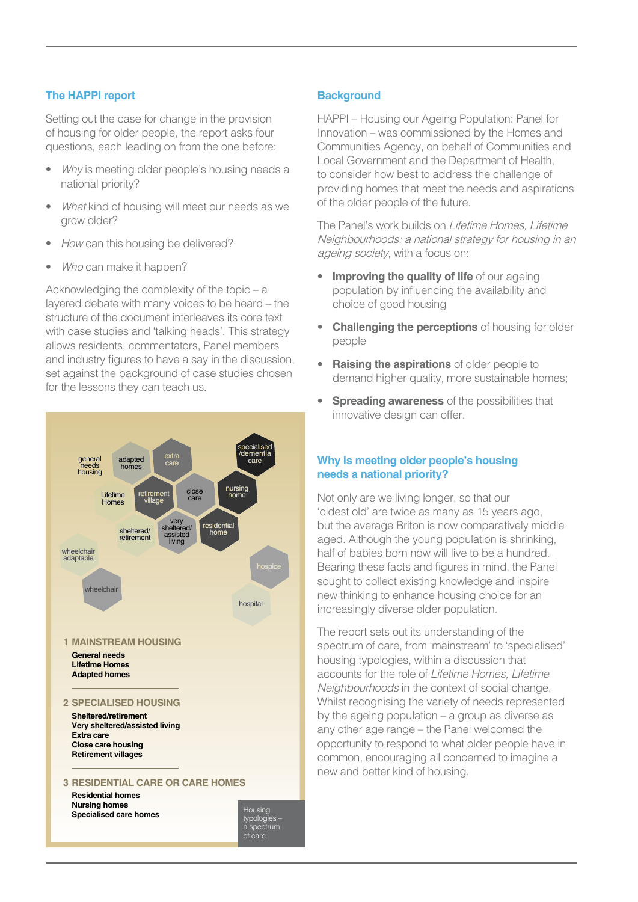## **The HAPPI report**

Setting out the case for change in the provision of housing for older people, the report asks four questions, each leading on from the one before:

- Why is meeting older people's housing needs a national priority?
- What kind of housing will meet our needs as we grow older?
- How can this housing be delivered?
- Who can make it happen?

Acknowledging the complexity of the topic – a layered debate with many voices to be heard – the structure of the document interleaves its core text with case studies and 'talking heads'. This strategy allows residents, commentators, Panel members and industry figures to have a say in the discussion, set against the background of case studies chosen for the lessons they can teach us.



### **Background**

HAPPI – Housing our Ageing Population: Panel for Innovation – was commissioned by the Homes and Communities Agency, on behalf of Communities and Local Government and the Department of Health, to consider how best to address the challenge of providing homes that meet the needs and aspirations of the older people of the future.

The Panel's work builds on Lifetime Homes, Lifetime Neighbourhoods: a national strategy for housing in an ageing society, with a focus on:

- **Improving the quality of life** of our ageing population by influencing the availability and choice of good housing
- **Challenging the perceptions** of housing for older people
- **Raising the aspirations** of older people to demand higher quality, more sustainable homes;
- **Spreading awareness** of the possibilities that innovative design can offer.

# **Why is meeting older people's housing needs a national priority?**

Not only are we living longer, so that our 'oldest old' are twice as many as 15 years ago, but the average Briton is now comparatively middle aged. Although the young population is shrinking, half of babies born now will live to be a hundred. Bearing these facts and figures in mind, the Panel sought to collect existing knowledge and inspire new thinking to enhance housing choice for an increasingly diverse older population.

The report sets out its understanding of the spectrum of care, from 'mainstream' to 'specialised' housing typologies, within a discussion that accounts for the role of Lifetime Homes, Lifetime Neighbourhoods in the context of social change. Whilst recognising the variety of needs represented by the ageing population – a group as diverse as any other age range – the Panel welcomed the opportunity to respond to what older people have in common, encouraging all concerned to imagine a new and better kind of housing.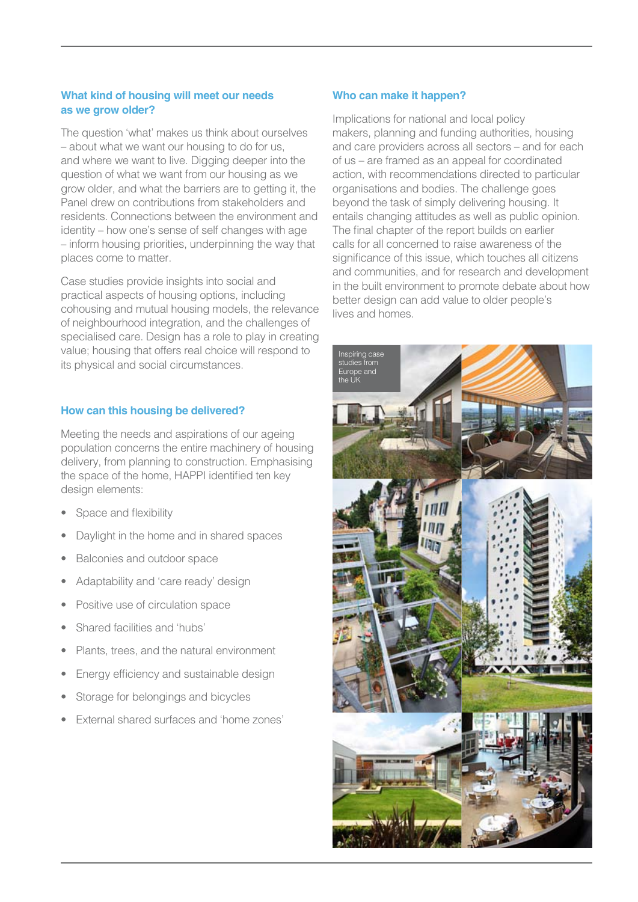## **What kind of housing will meet our needs as we grow older?**

The question 'what' makes us think about ourselves – about what we want our housing to do for us, and where we want to live. Digging deeper into the question of what we want from our housing as we grow older, and what the barriers are to getting it, the Panel drew on contributions from stakeholders and residents. Connections between the environment and identity – how one's sense of self changes with age – inform housing priorities, underpinning the way that places come to matter.

Case studies provide insights into social and practical aspects of housing options, including cohousing and mutual housing models, the relevance of neighbourhood integration, and the challenges of specialised care. Design has a role to play in creating value; housing that offers real choice will respond to its physical and social circumstances.

### **How can this housing be delivered?**

Meeting the needs and aspirations of our ageing population concerns the entire machinery of housing delivery, from planning to construction. Emphasising the space of the home, HAPPI identified ten key design elements:

- Space and flexibility
- Daylight in the home and in shared spaces
- Balconies and outdoor space
- Adaptability and 'care ready' design
- Positive use of circulation space
- Shared facilities and 'hubs'
- Plants, trees, and the natural environment
- Energy efficiency and sustainable design
- Storage for belongings and bicycles
- External shared surfaces and 'home zones'

#### **Who can make it happen?**

Implications for national and local policy makers, planning and funding authorities, housing and care providers across all sectors – and for each of us – are framed as an appeal for coordinated action, with recommendations directed to particular organisations and bodies. The challenge goes beyond the task of simply delivering housing. It entails changing attitudes as well as public opinion. The final chapter of the report builds on earlier calls for all concerned to raise awareness of the significance of this issue, which touches all citizens and communities, and for research and development in the built environment to promote debate about how better design can add value to older people's lives and homes.